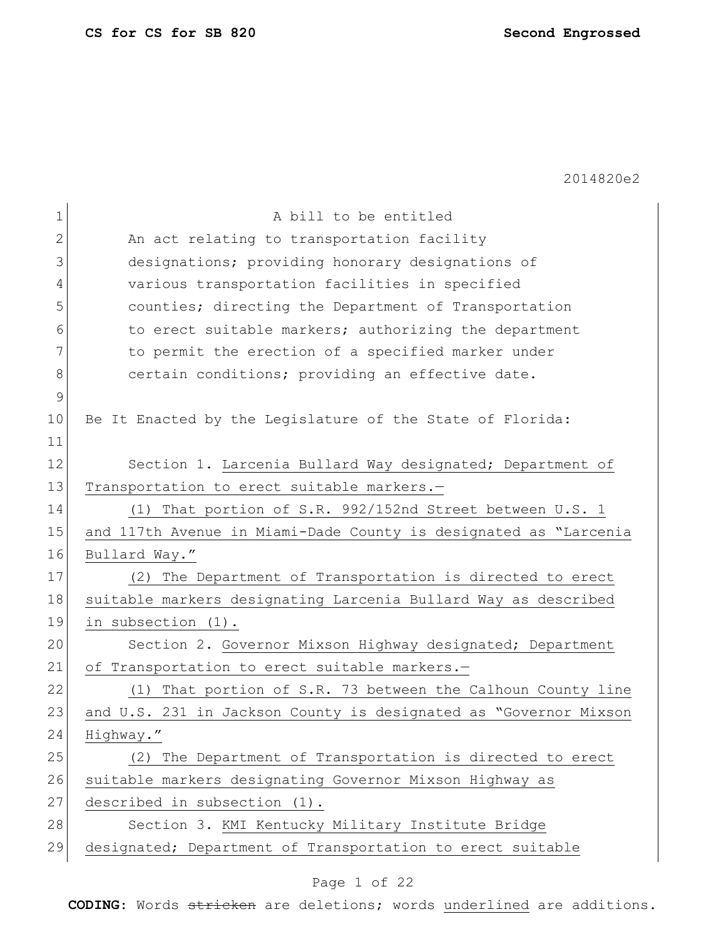$\mathbf{r}$ 

2014820e2

| 1            | A bill to be entitled                                            |
|--------------|------------------------------------------------------------------|
| $\mathbf{2}$ | An act relating to transportation facility                       |
| 3            | designations; providing honorary designations of                 |
| 4            | various transportation facilities in specified                   |
| 5            | counties; directing the Department of Transportation             |
| 6            | to erect suitable markers; authorizing the department            |
| 7            | to permit the erection of a specified marker under               |
| 8            | certain conditions; providing an effective date.                 |
| $\mathsf 9$  |                                                                  |
| 10           | Be It Enacted by the Legislature of the State of Florida:        |
| 11           |                                                                  |
| 12           | Section 1. Larcenia Bullard Way designated; Department of        |
| 13           | Transportation to erect suitable markers.-                       |
| 14           | (1) That portion of S.R. 992/152nd Street between U.S. 1         |
| 15           | and 117th Avenue in Miami-Dade County is designated as "Larcenia |
| 16           | Bullard Way."                                                    |
| 17           | (2) The Department of Transportation is directed to erect        |
| 18           | suitable markers designating Larcenia Bullard Way as described   |
| 19           | in subsection (1).                                               |
| 20           | Section 2. Governor Mixson Highway designated; Department        |
| 21           | of Transportation to erect suitable markers.-                    |
| 22           | (1) That portion of S.R. 73 between the Calhoun County line      |
| 23           | and U.S. 231 in Jackson County is designated as "Governor Mixson |
| 24           | Highway."                                                        |
| 25           | (2) The Department of Transportation is directed to erect        |
| 26           | suitable markers designating Governor Mixson Highway as          |
| 27           | described in subsection (1).                                     |
| 28           | Section 3. KMI Kentucky Military Institute Bridge                |
| 29           | designated; Department of Transportation to erect suitable       |

# Page 1 of 22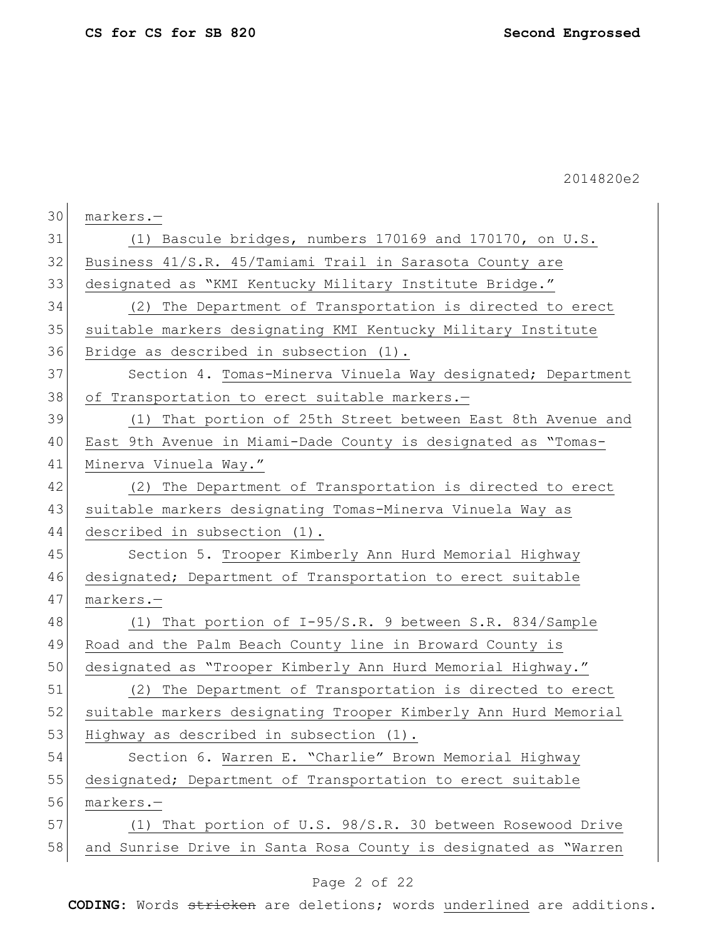$\mathbf{r}$ 

2014820e2

| 30 | markers.-                                                       |
|----|-----------------------------------------------------------------|
| 31 | (1) Bascule bridges, numbers 170169 and 170170, on U.S.         |
| 32 | Business 41/S.R. 45/Tamiami Trail in Sarasota County are        |
| 33 | designated as "KMI Kentucky Military Institute Bridge."         |
| 34 | The Department of Transportation is directed to erect<br>(2)    |
| 35 | suitable markers designating KMI Kentucky Military Institute    |
| 36 | Bridge as described in subsection (1).                          |
| 37 | Section 4. Tomas-Minerva Vinuela Way designated; Department     |
| 38 | of Transportation to erect suitable markers.-                   |
| 39 | That portion of 25th Street between East 8th Avenue and<br>(1)  |
| 40 | East 9th Avenue in Miami-Dade County is designated as "Tomas-   |
| 41 | Minerva Vinuela Way."                                           |
| 42 | (2) The Department of Transportation is directed to erect       |
| 43 | suitable markers designating Tomas-Minerva Vinuela Way as       |
| 44 | described in subsection (1).                                    |
| 45 | Section 5. Trooper Kimberly Ann Hurd Memorial Highway           |
| 46 | designated; Department of Transportation to erect suitable      |
| 47 | markers.-                                                       |
| 48 | (1) That portion of I-95/S.R. 9 between S.R. 834/Sample         |
| 49 | Road and the Palm Beach County line in Broward County is        |
| 50 | designated as "Trooper Kimberly Ann Hurd Memorial Highway."     |
| 51 | The Department of Transportation is directed to erect<br>(2)    |
| 52 | suitable markers designating Trooper Kimberly Ann Hurd Memorial |
| 53 | Highway as described in subsection (1).                         |
| 54 | Section 6. Warren E. "Charlie" Brown Memorial Highway           |
| 55 | designated; Department of Transportation to erect suitable      |
| 56 | markers.-                                                       |
| 57 | That portion of U.S. 98/S.R. 30 between Rosewood Drive<br>(1)   |
| 58 | and Sunrise Drive in Santa Rosa County is designated as "Warren |

# Page 2 of 22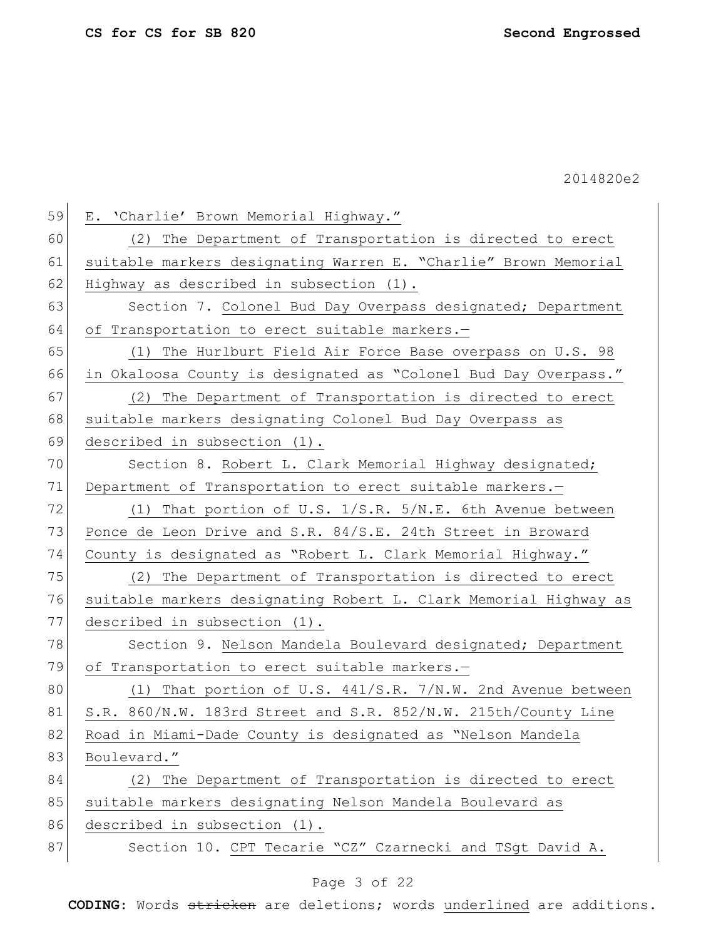| 59 | E. 'Charlie' Brown Memorial Highway."                            |
|----|------------------------------------------------------------------|
|    |                                                                  |
| 60 | (2) The Department of Transportation is directed to erect        |
| 61 | suitable markers designating Warren E. "Charlie" Brown Memorial  |
| 62 | Highway as described in subsection (1).                          |
| 63 | Section 7. Colonel Bud Day Overpass designated; Department       |
| 64 | of Transportation to erect suitable markers.-                    |
| 65 | (1) The Hurlburt Field Air Force Base overpass on U.S. 98        |
| 66 | in Okaloosa County is designated as "Colonel Bud Day Overpass."  |
| 67 | (2) The Department of Transportation is directed to erect        |
| 68 | suitable markers designating Colonel Bud Day Overpass as         |
| 69 | described in subsection (1).                                     |
| 70 | Section 8. Robert L. Clark Memorial Highway designated;          |
| 71 | Department of Transportation to erect suitable markers.-         |
| 72 | (1) That portion of U.S. 1/S.R. 5/N.E. 6th Avenue between        |
| 73 | Ponce de Leon Drive and S.R. 84/S.E. 24th Street in Broward      |
| 74 | County is designated as "Robert L. Clark Memorial Highway."      |
| 75 | (2) The Department of Transportation is directed to erect        |
| 76 | suitable markers designating Robert L. Clark Memorial Highway as |
| 77 | described in subsection (1).                                     |
| 78 | Section 9. Nelson Mandela Boulevard designated; Department       |
| 79 | of Transportation to erect suitable markers.-                    |
| 80 | (1) That portion of U.S. $441/S.R. 7/N.W. 2nd$ Avenue between    |
| 81 | S.R. 860/N.W. 183rd Street and S.R. 852/N.W. 215th/County Line   |
| 82 | Road in Miami-Dade County is designated as "Nelson Mandela       |
| 83 | Boulevard."                                                      |
| 84 | (2) The Department of Transportation is directed to erect        |
| 85 | suitable markers designating Nelson Mandela Boulevard as         |
| 86 | described in subsection (1).                                     |
| 87 | Section 10. CPT Tecarie "CZ" Czarnecki and TSgt David A.         |

# Page 3 of 22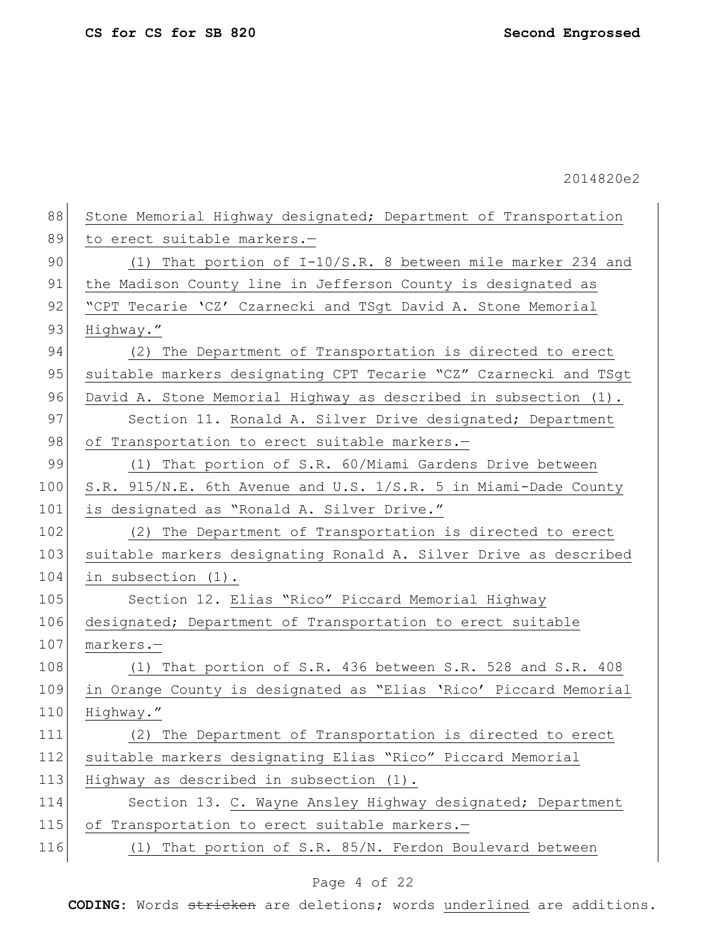88 Stone Memorial Highway designated; Department of Transportation 89 to erect suitable markers.-90 (1) That portion of I-10/S.R. 8 between mile marker 234 and 91 the Madison County line in Jefferson County is designated as 92 "CPT Tecarie 'CZ' Czarnecki and TSgt David A. Stone Memorial 93 Highway." 94 (2) The Department of Transportation is directed to erect 95 suitable markers designating CPT Tecarie "CZ" Czarnecki and TSgt 96 David A. Stone Memorial Highway as described in subsection (1). 97 Section 11. Ronald A. Silver Drive designated; Department 98 of Transportation to erect suitable markers.-99 (1) That portion of S.R. 60/Miami Gardens Drive between 100 S.R. 915/N.E. 6th Avenue and U.S. 1/S.R. 5 in Miami-Dade County 101 is designated as "Ronald A. Silver Drive." 102 (2) The Department of Transportation is directed to erect 103 suitable markers designating Ronald A. Silver Drive as described 104 in subsection (1). 105 Section 12. Elias "Rico" Piccard Memorial Highway 106 designated; Department of Transportation to erect suitable 107 markers.-108 (1) That portion of S.R. 436 between S.R. 528 and S.R. 408 109 in Orange County is designated as "Elias 'Rico' Piccard Memorial 110 Highway." 111 (2) The Department of Transportation is directed to erect 112 suitable markers designating Elias "Rico" Piccard Memorial 113 Highway as described in subsection (1). 114 Section 13. C. Wayne Ansley Highway designated; Department 115 of Transportation to erect suitable markers.-116 (1) That portion of S.R. 85/N. Ferdon Boulevard between

### Page 4 of 22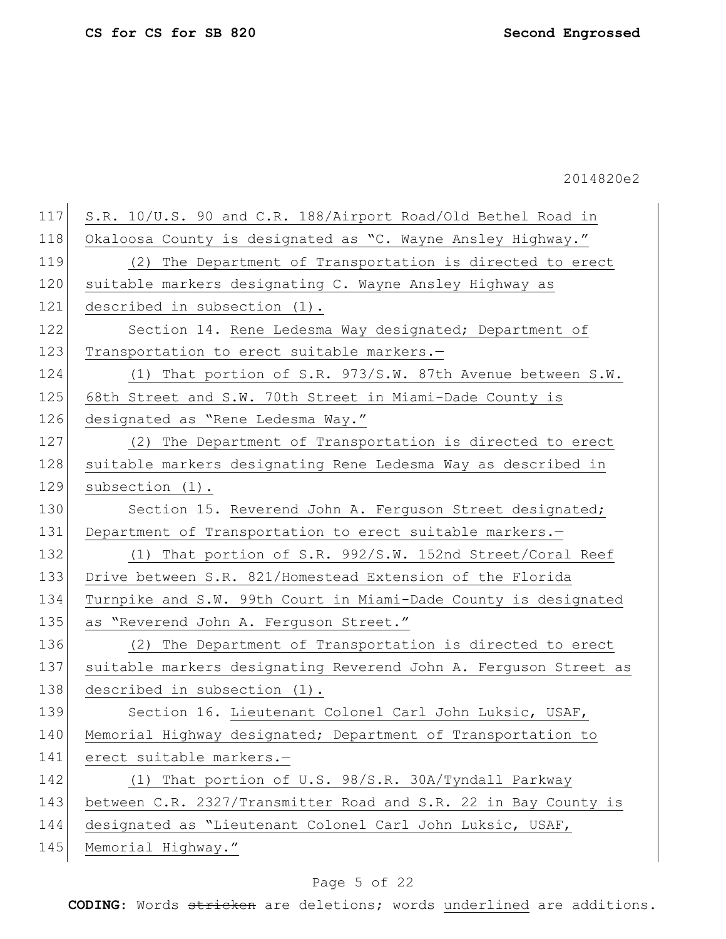| 117 | S.R. 10/U.S. 90 and C.R. 188/Airport Road/Old Bethel Road in     |
|-----|------------------------------------------------------------------|
| 118 | Okaloosa County is designated as "C. Wayne Ansley Highway."      |
| 119 | (2) The Department of Transportation is directed to erect        |
| 120 | suitable markers designating C. Wayne Ansley Highway as          |
| 121 | described in subsection (1).                                     |
| 122 | Section 14. Rene Ledesma Way designated; Department of           |
| 123 | Transportation to erect suitable markers.-                       |
| 124 | (1) That portion of S.R. 973/S.W. 87th Avenue between S.W.       |
| 125 | 68th Street and S.W. 70th Street in Miami-Dade County is         |
| 126 | designated as "Rene Ledesma Way."                                |
| 127 | (2) The Department of Transportation is directed to erect        |
| 128 | suitable markers designating Rene Ledesma Way as described in    |
| 129 | subsection (1).                                                  |
| 130 | Section 15. Reverend John A. Ferguson Street designated;         |
| 131 | Department of Transportation to erect suitable markers.-         |
| 132 | (1) That portion of S.R. $992/S.W.$ 152nd Street/Coral Reef      |
| 133 | Drive between S.R. 821/Homestead Extension of the Florida        |
| 134 | Turnpike and S.W. 99th Court in Miami-Dade County is designated  |
| 135 | as "Reverend John A. Ferguson Street."                           |
| 136 | (2) The Department of Transportation is directed to erect        |
| 137 | suitable markers designating Reverend John A. Ferguson Street as |
| 138 | described in subsection (1).                                     |
| 139 | Section 16. Lieutenant Colonel Carl John Luksic, USAF,           |
| 140 | Memorial Highway designated; Department of Transportation to     |
| 141 | erect suitable markers.-                                         |
| 142 | (1) That portion of U.S. 98/S.R. 30A/Tyndall Parkway             |
| 143 | between C.R. 2327/Transmitter Road and S.R. 22 in Bay County is  |
| 144 | designated as "Lieutenant Colonel Carl John Luksic, USAF,        |
| 145 | Memorial Highway."                                               |

# Page 5 of 22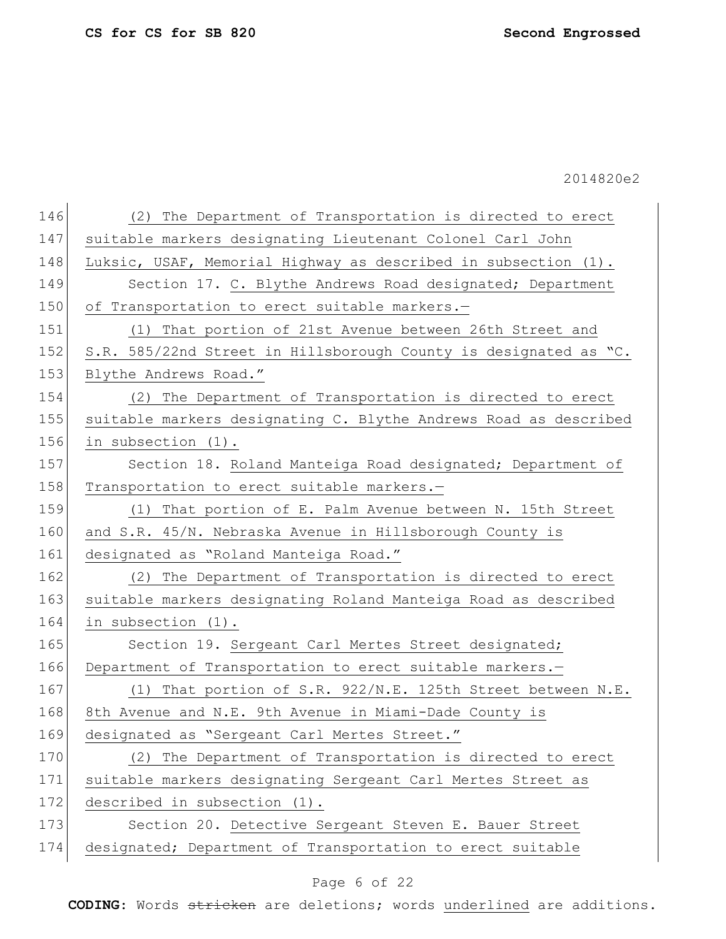| 146 | (2) The Department of Transportation is directed to erect        |
|-----|------------------------------------------------------------------|
| 147 | suitable markers designating Lieutenant Colonel Carl John        |
| 148 | Luksic, USAF, Memorial Highway as described in subsection (1).   |
| 149 | Section 17. C. Blythe Andrews Road designated; Department        |
| 150 | of Transportation to erect suitable markers.-                    |
| 151 | (1) That portion of 21st Avenue between 26th Street and          |
| 152 | S.R. 585/22nd Street in Hillsborough County is designated as "C. |
| 153 | Blythe Andrews Road."                                            |
| 154 | (2) The Department of Transportation is directed to erect        |
| 155 | suitable markers designating C. Blythe Andrews Road as described |
| 156 | in subsection (1).                                               |
| 157 | Section 18. Roland Manteiga Road designated; Department of       |
| 158 | Transportation to erect suitable markers.-                       |
| 159 | (1) That portion of E. Palm Avenue between N. 15th Street        |
| 160 | and S.R. 45/N. Nebraska Avenue in Hillsborough County is         |
| 161 | designated as "Roland Manteiga Road."                            |
| 162 | The Department of Transportation is directed to erect<br>(2)     |
| 163 | suitable markers designating Roland Manteiga Road as described   |
| 164 | in subsection (1).                                               |
| 165 | Section 19. Sergeant Carl Mertes Street designated;              |
| 166 | Department of Transportation to erect suitable markers.-         |
| 167 | (1) That portion of S.R. 922/N.E. 125th Street between N.E.      |
| 168 | 8th Avenue and N.E. 9th Avenue in Miami-Dade County is           |
| 169 | designated as "Sergeant Carl Mertes Street."                     |
| 170 | (2) The Department of Transportation is directed to erect        |
| 171 | suitable markers designating Sergeant Carl Mertes Street as      |
| 172 | described in subsection (1).                                     |
| 173 | Section 20. Detective Sergeant Steven E. Bauer Street            |
| 174 | designated; Department of Transportation to erect suitable       |
|     |                                                                  |

# Page 6 of 22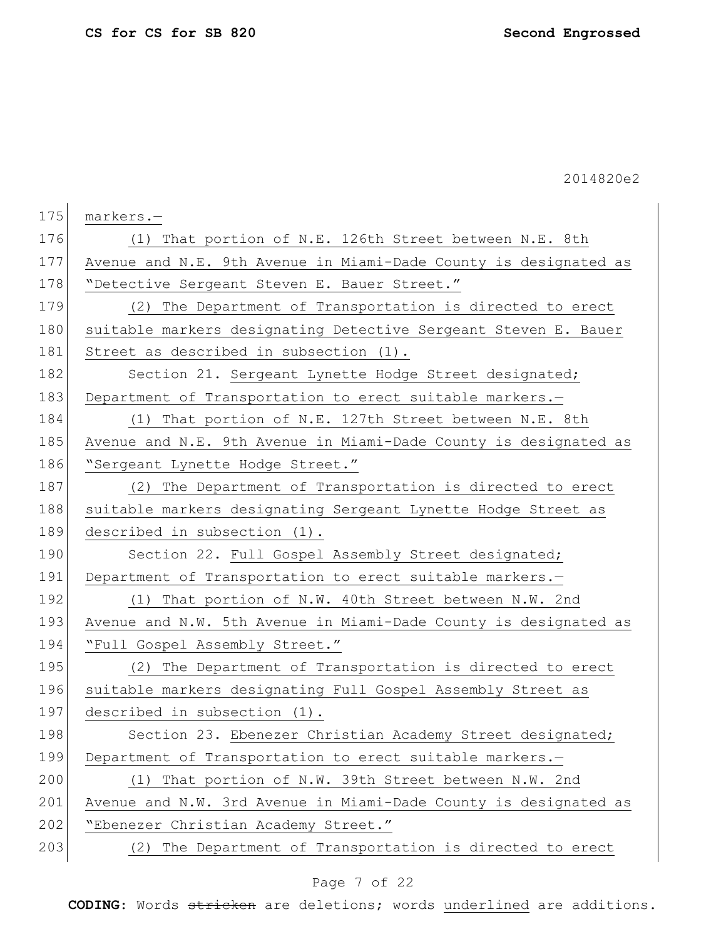| 175 | markers.-                                                        |
|-----|------------------------------------------------------------------|
| 176 | (1) That portion of N.E. 126th Street between N.E. 8th           |
| 177 | Avenue and N.E. 9th Avenue in Miami-Dade County is designated as |
| 178 | "Detective Sergeant Steven E. Bauer Street."                     |
| 179 | (2) The Department of Transportation is directed to erect        |
| 180 | suitable markers designating Detective Sergeant Steven E. Bauer  |
| 181 | Street as described in subsection (1).                           |
| 182 | Section 21. Sergeant Lynette Hodge Street designated;            |
| 183 | Department of Transportation to erect suitable markers.-         |
| 184 | (1) That portion of N.E. 127th Street between N.E. 8th           |
| 185 | Avenue and N.E. 9th Avenue in Miami-Dade County is designated as |
| 186 | "Sergeant Lynette Hodge Street."                                 |
| 187 | (2) The Department of Transportation is directed to erect        |
| 188 | suitable markers designating Sergeant Lynette Hodge Street as    |
| 189 | described in subsection (1).                                     |
| 190 | Section 22. Full Gospel Assembly Street designated;              |
| 191 | Department of Transportation to erect suitable markers.-         |
| 192 | (1) That portion of N.W. 40th Street between N.W. 2nd            |
| 193 | Avenue and N.W. 5th Avenue in Miami-Dade County is designated as |
| 194 | "Full Gospel Assembly Street."                                   |
| 195 | The Department of Transportation is directed to erect<br>(2)     |
| 196 | suitable markers designating Full Gospel Assembly Street as      |
| 197 | described in subsection (1).                                     |
| 198 | Section 23. Ebenezer Christian Academy Street designated;        |
| 199 | Department of Transportation to erect suitable markers.-         |
| 200 | (1) That portion of N.W. 39th Street between N.W. 2nd            |
| 201 | Avenue and N.W. 3rd Avenue in Miami-Dade County is designated as |
| 202 | "Ebenezer Christian Academy Street."                             |
| 203 | The Department of Transportation is directed to erect<br>(2)     |

# Page 7 of 22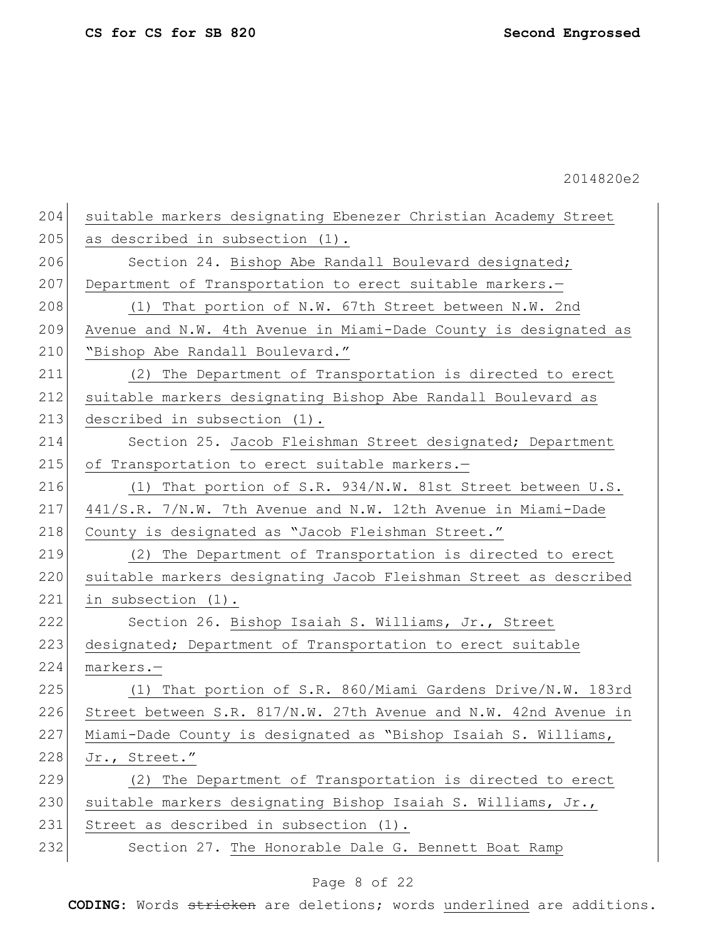| 204 | suitable markers designating Ebenezer Christian Academy Street   |
|-----|------------------------------------------------------------------|
| 205 | as described in subsection (1).                                  |
| 206 | Section 24. Bishop Abe Randall Boulevard designated;             |
| 207 | Department of Transportation to erect suitable markers.-         |
| 208 | (1) That portion of N.W. 67th Street between N.W. 2nd            |
| 209 | Avenue and N.W. 4th Avenue in Miami-Dade County is designated as |
| 210 | "Bishop Abe Randall Boulevard."                                  |
| 211 | (2) The Department of Transportation is directed to erect        |
| 212 | suitable markers designating Bishop Abe Randall Boulevard as     |
| 213 | described in subsection (1).                                     |
| 214 | Section 25. Jacob Fleishman Street designated; Department        |
| 215 | of Transportation to erect suitable markers.-                    |
| 216 | (1) That portion of S.R. 934/N.W. 81st Street between U.S.       |
| 217 | 441/S.R. 7/N.W. 7th Avenue and N.W. 12th Avenue in Miami-Dade    |
| 218 | County is designated as "Jacob Fleishman Street."                |
| 219 | (2) The Department of Transportation is directed to erect        |
| 220 | suitable markers designating Jacob Fleishman Street as described |
| 221 | in subsection (1).                                               |
| 222 | Section 26. Bishop Isaiah S. Williams, Jr., Street               |
| 223 | designated; Department of Transportation to erect suitable       |
| 224 | markers.-                                                        |
| 225 | (1) That portion of S.R. 860/Miami Gardens Drive/N.W. 183rd      |
| 226 | Street between S.R. 817/N.W. 27th Avenue and N.W. 42nd Avenue in |
| 227 | Miami-Dade County is designated as "Bishop Isaiah S. Williams,   |
| 228 | Jr., Street."                                                    |
| 229 | The Department of Transportation is directed to erect<br>(2)     |
| 230 | suitable markers designating Bishop Isaiah S. Williams, Jr.,     |
| 231 | Street as described in subsection (1).                           |
| 232 | Section 27. The Honorable Dale G. Bennett Boat Ramp              |
|     |                                                                  |

# Page 8 of 22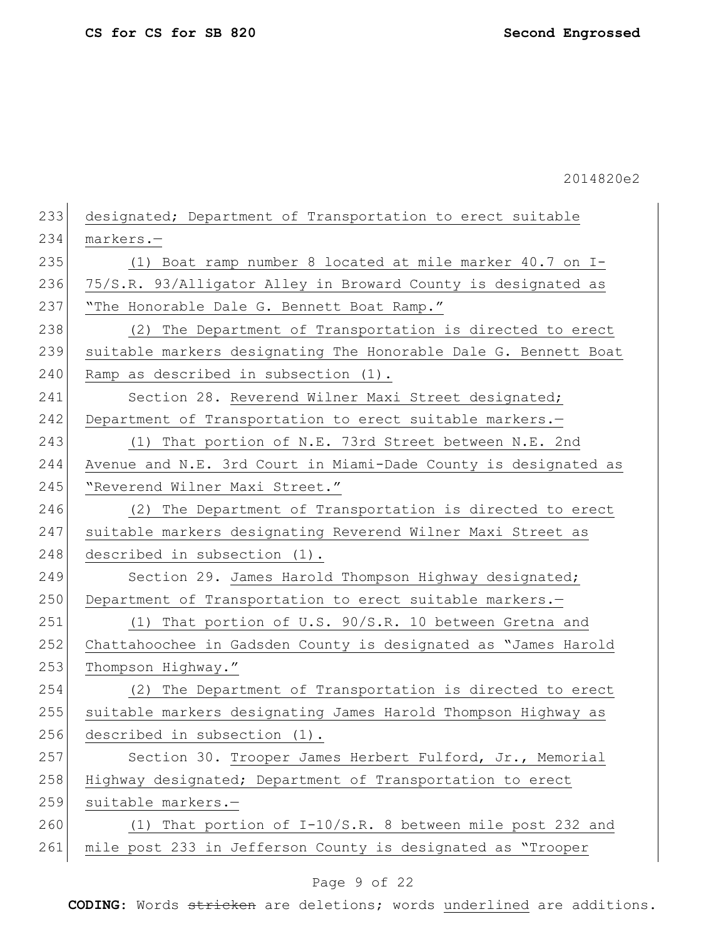| 233 | designated; Department of Transportation to erect suitable      |
|-----|-----------------------------------------------------------------|
| 234 | markers.-                                                       |
| 235 | (1) Boat ramp number 8 located at mile marker 40.7 on I-        |
| 236 | 75/S.R. 93/Alligator Alley in Broward County is designated as   |
| 237 | "The Honorable Dale G. Bennett Boat Ramp."                      |
| 238 | The Department of Transportation is directed to erect<br>(2)    |
| 239 | suitable markers designating The Honorable Dale G. Bennett Boat |
| 240 | Ramp as described in subsection (1).                            |
| 241 | Section 28. Reverend Wilner Maxi Street designated;             |
| 242 | Department of Transportation to erect suitable markers.-        |
| 243 | (1) That portion of N.E. 73rd Street between N.E. 2nd           |
| 244 | Avenue and N.E. 3rd Court in Miami-Dade County is designated as |
| 245 | "Reverend Wilner Maxi Street."                                  |
| 246 | (2) The Department of Transportation is directed to erect       |
| 247 | suitable markers designating Reverend Wilner Maxi Street as     |
| 248 | described in subsection (1).                                    |
| 249 | Section 29. James Harold Thompson Highway designated;           |
| 250 | Department of Transportation to erect suitable markers.-        |
| 251 | (1) That portion of U.S. 90/S.R. 10 between Gretna and          |
| 252 | Chattahoochee in Gadsden County is designated as "James Harold  |
| 253 | Thompson Highway."                                              |
| 254 | (2) The Department of Transportation is directed to erect       |
| 255 | suitable markers designating James Harold Thompson Highway as   |
| 256 | described in subsection (1).                                    |
| 257 | Section 30. Trooper James Herbert Fulford, Jr., Memorial        |
| 258 | Highway designated; Department of Transportation to erect       |
| 259 | suitable markers.-                                              |
| 260 | (1) That portion of I-10/S.R. 8 between mile post 232 and       |
| 261 | mile post 233 in Jefferson County is designated as "Trooper     |
|     |                                                                 |

# Page 9 of 22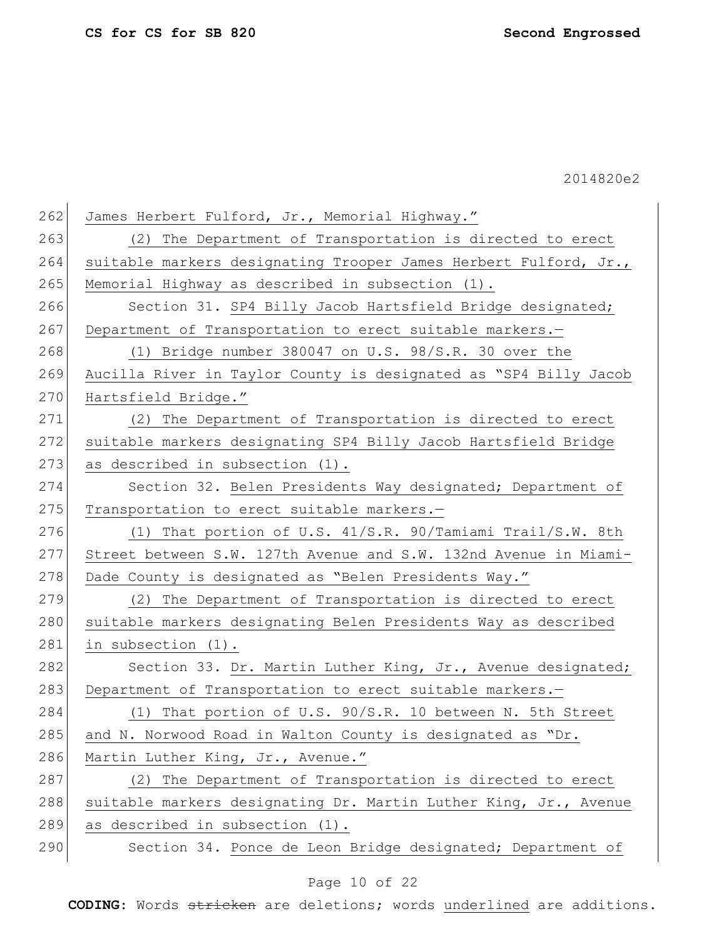| 262 | James Herbert Fulford, Jr., Memorial Highway."                   |
|-----|------------------------------------------------------------------|
| 263 | (2) The Department of Transportation is directed to erect        |
| 264 | suitable markers designating Trooper James Herbert Fulford, Jr., |
| 265 | Memorial Highway as described in subsection (1).                 |
| 266 | Section 31. SP4 Billy Jacob Hartsfield Bridge designated;        |
| 267 | Department of Transportation to erect suitable markers.-         |
| 268 | (1) Bridge number $380047$ on U.S. $98/S.R.$ 30 over the         |
| 269 | Aucilla River in Taylor County is designated as "SP4 Billy Jacob |
| 270 | Hartsfield Bridge."                                              |
| 271 | (2) The Department of Transportation is directed to erect        |
| 272 | suitable markers designating SP4 Billy Jacob Hartsfield Bridge   |
| 273 | as described in subsection (1).                                  |
| 274 | Section 32. Belen Presidents Way designated; Department of       |
| 275 | Transportation to erect suitable markers.-                       |
| 276 | (1) That portion of U.S. 41/S.R. 90/Tamiami Trail/S.W. 8th       |
| 277 | Street between S.W. 127th Avenue and S.W. 132nd Avenue in Miami- |
| 278 | Dade County is designated as "Belen Presidents Way."             |
| 279 | (2) The Department of Transportation is directed to erect        |
| 280 | suitable markers designating Belen Presidents Way as described   |
| 281 | in subsection (1).                                               |
| 282 | Section 33. Dr. Martin Luther King, Jr., Avenue designated;      |
| 283 | Department of Transportation to erect suitable markers.-         |
| 284 | (1) That portion of U.S. 90/S.R. 10 between N. 5th Street        |
| 285 | and N. Norwood Road in Walton County is designated as "Dr.       |
| 286 | Martin Luther King, Jr., Avenue."                                |
| 287 | (2) The Department of Transportation is directed to erect        |
| 288 | suitable markers designating Dr. Martin Luther King, Jr., Avenue |
| 289 | as described in subsection (1).                                  |
| 290 | Section 34. Ponce de Leon Bridge designated; Department of       |
|     |                                                                  |

# Page 10 of 22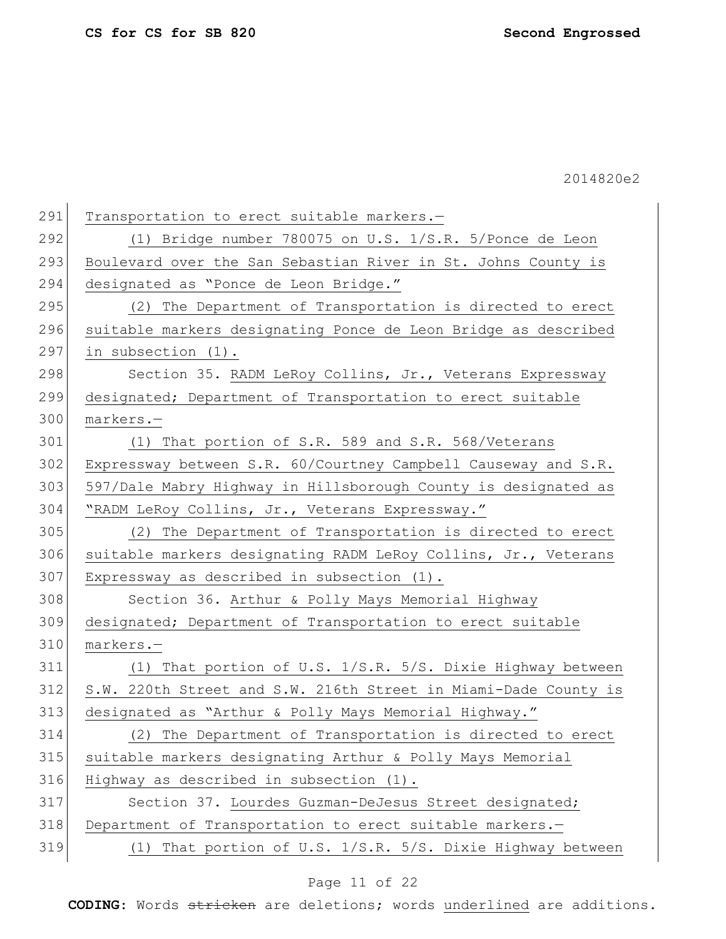| 291 | Transportation to erect suitable markers.-                      |
|-----|-----------------------------------------------------------------|
| 292 | (1) Bridge number 780075 on U.S. 1/S.R. 5/Ponce de Leon         |
| 293 | Boulevard over the San Sebastian River in St. Johns County is   |
| 294 | designated as "Ponce de Leon Bridge."                           |
| 295 | (2) The Department of Transportation is directed to erect       |
| 296 | suitable markers designating Ponce de Leon Bridge as described  |
| 297 | in subsection (1).                                              |
| 298 | Section 35. RADM LeRoy Collins, Jr., Veterans Expressway        |
| 299 | designated; Department of Transportation to erect suitable      |
| 300 | markers.-                                                       |
| 301 | (1) That portion of S.R. 589 and S.R. 568/Veterans              |
| 302 | Expressway between S.R. 60/Courtney Campbell Causeway and S.R.  |
| 303 | 597/Dale Mabry Highway in Hillsborough County is designated as  |
| 304 | "RADM LeRoy Collins, Jr., Veterans Expressway."                 |
| 305 | (2) The Department of Transportation is directed to erect       |
| 306 | suitable markers designating RADM LeRoy Collins, Jr., Veterans  |
| 307 | Expressway as described in subsection (1).                      |
| 308 | Section 36. Arthur & Polly Mays Memorial Highway                |
| 309 | designated; Department of Transportation to erect suitable      |
| 310 | markers.-                                                       |
| 311 | (1) That portion of U.S. 1/S.R. 5/S. Dixie Highway between      |
| 312 | S.W. 220th Street and S.W. 216th Street in Miami-Dade County is |
| 313 | designated as "Arthur & Polly Mays Memorial Highway."           |
| 314 | (2) The Department of Transportation is directed to erect       |
| 315 | suitable markers designating Arthur & Polly Mays Memorial       |
| 316 | Highway as described in subsection (1).                         |
| 317 | Section 37. Lourdes Guzman-DeJesus Street designated;           |
| 318 | Department of Transportation to erect suitable markers.-        |
| 319 | (1) That portion of U.S. 1/S.R. 5/S. Dixie Highway between      |
|     |                                                                 |

# Page 11 of 22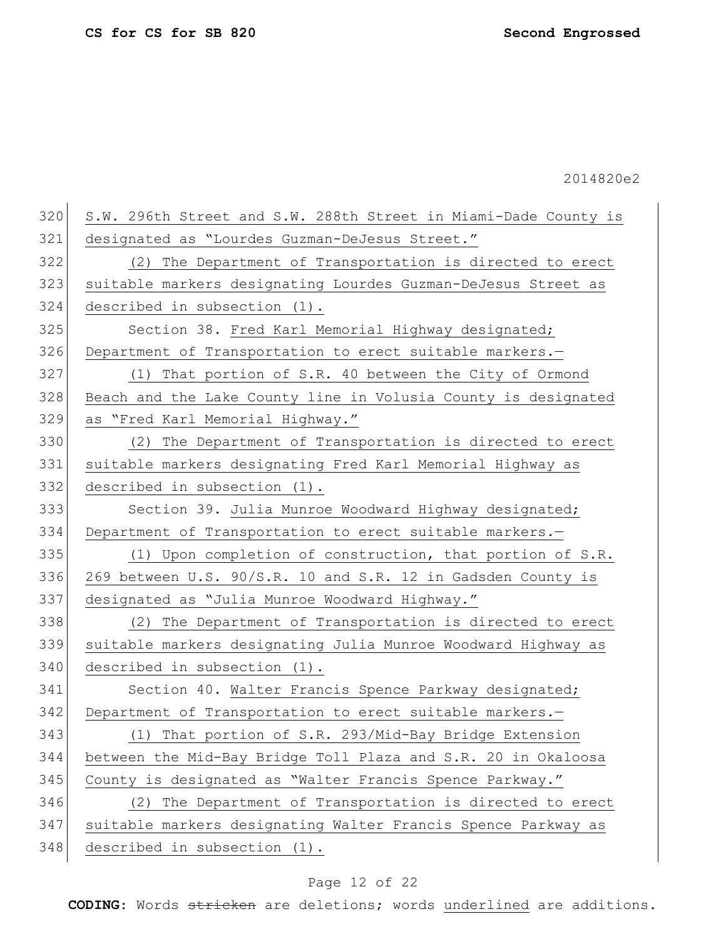| 320 | S.W. 296th Street and S.W. 288th Street in Miami-Dade County is |
|-----|-----------------------------------------------------------------|
| 321 | designated as "Lourdes Guzman-DeJesus Street."                  |
| 322 | (2) The Department of Transportation is directed to erect       |
| 323 | suitable markers designating Lourdes Guzman-DeJesus Street as   |
| 324 | described in subsection (1).                                    |
| 325 | Section 38. Fred Karl Memorial Highway designated;              |
| 326 | Department of Transportation to erect suitable markers.-        |
| 327 | (1) That portion of S.R. 40 between the City of Ormond          |
| 328 | Beach and the Lake County line in Volusia County is designated  |
| 329 | as "Fred Karl Memorial Highway."                                |
| 330 | (2) The Department of Transportation is directed to erect       |
| 331 | suitable markers designating Fred Karl Memorial Highway as      |
| 332 | described in subsection (1).                                    |
| 333 | Section 39. Julia Munroe Woodward Highway designated;           |
| 334 | Department of Transportation to erect suitable markers.-        |
| 335 | (1) Upon completion of construction, that portion of S.R.       |
| 336 | 269 between U.S. 90/S.R. 10 and S.R. 12 in Gadsden County is    |
| 337 | designated as "Julia Munroe Woodward Highway."                  |
| 338 | (2) The Department of Transportation is directed to erect       |
| 339 | suitable markers designating Julia Munroe Woodward Highway as   |
| 340 | described in subsection (1).                                    |
| 341 | Section 40. Walter Francis Spence Parkway designated;           |
| 342 | Department of Transportation to erect suitable markers.-        |
| 343 | (1) That portion of S.R. 293/Mid-Bay Bridge Extension           |
| 344 | between the Mid-Bay Bridge Toll Plaza and S.R. 20 in Okaloosa   |
| 345 | County is designated as "Walter Francis Spence Parkway."        |
| 346 | (2) The Department of Transportation is directed to erect       |
| 347 | suitable markers designating Walter Francis Spence Parkway as   |
| 348 | described in subsection (1).                                    |
|     |                                                                 |

# Page 12 of 22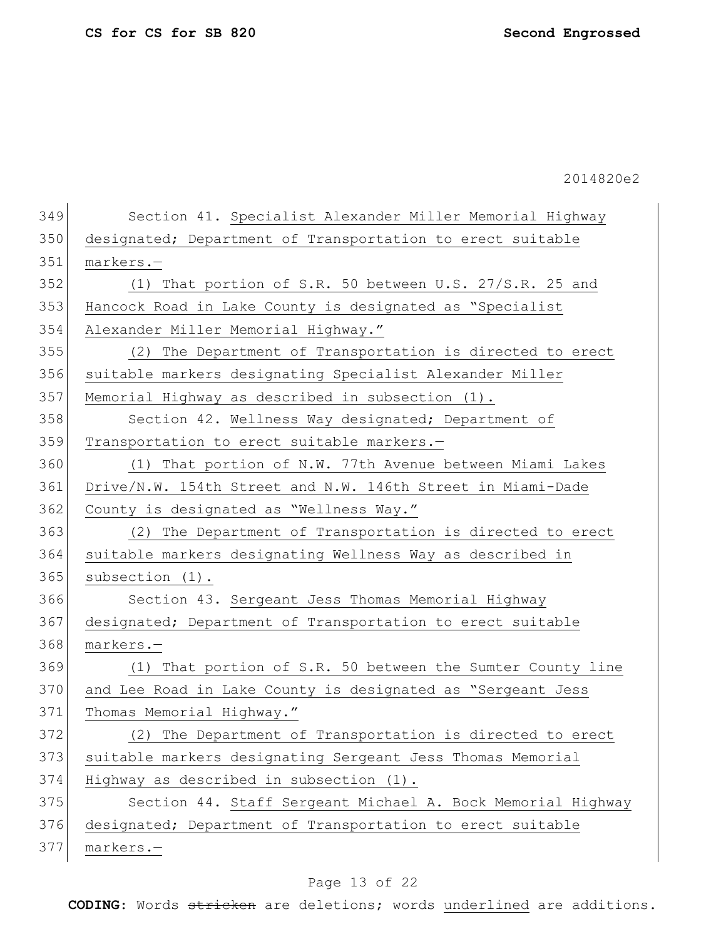| 349 | Section 41. Specialist Alexander Miller Memorial Highway    |
|-----|-------------------------------------------------------------|
| 350 | designated; Department of Transportation to erect suitable  |
|     |                                                             |
| 351 | markers.-                                                   |
| 352 | (1) That portion of S.R. 50 between U.S. 27/S.R. 25 and     |
| 353 | Hancock Road in Lake County is designated as "Specialist    |
| 354 | Alexander Miller Memorial Highway."                         |
| 355 | (2) The Department of Transportation is directed to erect   |
| 356 | suitable markers designating Specialist Alexander Miller    |
| 357 | Memorial Highway as described in subsection (1).            |
| 358 | Section 42. Wellness Way designated; Department of          |
| 359 | Transportation to erect suitable markers.-                  |
| 360 | (1) That portion of N.W. 77th Avenue between Miami Lakes    |
| 361 | Drive/N.W. 154th Street and N.W. 146th Street in Miami-Dade |
| 362 | County is designated as "Wellness Way."                     |
| 363 | (2) The Department of Transportation is directed to erect   |
| 364 | suitable markers designating Wellness Way as described in   |
| 365 | subsection $(1)$ .                                          |
| 366 | Section 43. Sergeant Jess Thomas Memorial Highway           |
| 367 | designated; Department of Transportation to erect suitable  |
| 368 | markers.-                                                   |
| 369 | (1) That portion of S.R. 50 between the Sumter County line  |
| 370 | and Lee Road in Lake County is designated as "Sergeant Jess |
| 371 | Thomas Memorial Highway."                                   |
| 372 | (2) The Department of Transportation is directed to erect   |
| 373 | suitable markers designating Sergeant Jess Thomas Memorial  |
| 374 | Highway as described in subsection (1).                     |
|     | Section 44. Staff Sergeant Michael A. Bock Memorial Highway |
| 375 |                                                             |
| 376 | designated; Department of Transportation to erect suitable  |

# Page 13 of 22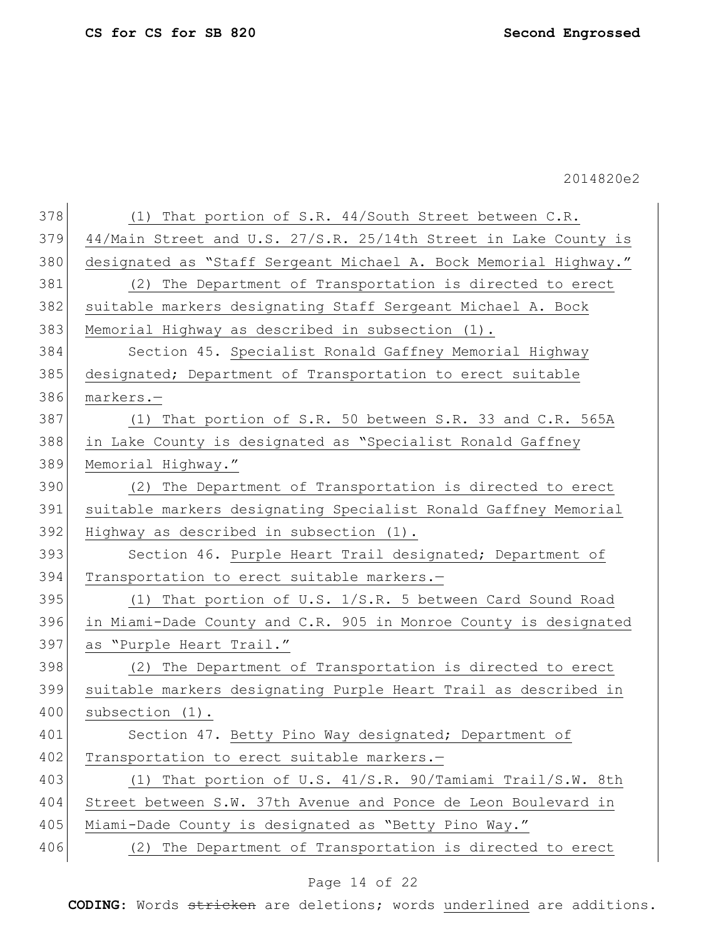| 378 | (1) That portion of S.R. 44/South Street between C.R.            |
|-----|------------------------------------------------------------------|
| 379 | 44/Main Street and U.S. 27/S.R. 25/14th Street in Lake County is |
| 380 | designated as "Staff Sergeant Michael A. Bock Memorial Highway." |
| 381 | (2) The Department of Transportation is directed to erect        |
| 382 | suitable markers designating Staff Sergeant Michael A. Bock      |
| 383 | Memorial Highway as described in subsection (1).                 |
| 384 | Section 45. Specialist Ronald Gaffney Memorial Highway           |
| 385 | designated; Department of Transportation to erect suitable       |
| 386 | markers.-                                                        |
| 387 | (1) That portion of S.R. 50 between S.R. 33 and C.R. 565A        |
| 388 | in Lake County is designated as "Specialist Ronald Gaffney       |
| 389 | Memorial Highway."                                               |
| 390 | (2) The Department of Transportation is directed to erect        |
| 391 | suitable markers designating Specialist Ronald Gaffney Memorial  |
| 392 | Highway as described in subsection (1).                          |
| 393 | Section 46. Purple Heart Trail designated; Department of         |
| 394 | Transportation to erect suitable markers.-                       |
| 395 | (1) That portion of U.S. 1/S.R. 5 between Card Sound Road        |
| 396 | in Miami-Dade County and C.R. 905 in Monroe County is designated |
| 397 | as "Purple Heart Trail."                                         |
| 398 | (2) The Department of Transportation is directed to erect        |
| 399 | suitable markers designating Purple Heart Trail as described in  |
| 400 | subsection (1).                                                  |
| 401 | Section 47. Betty Pino Way designated; Department of             |
| 402 | Transportation to erect suitable markers.-                       |
| 403 | (1) That portion of U.S. 41/S.R. 90/Tamiami Trail/S.W. 8th       |
| 404 | Street between S.W. 37th Avenue and Ponce de Leon Boulevard in   |
| 405 | Miami-Dade County is designated as "Betty Pino Way."             |
| 406 | (2) The Department of Transportation is directed to erect        |
|     |                                                                  |

# Page 14 of 22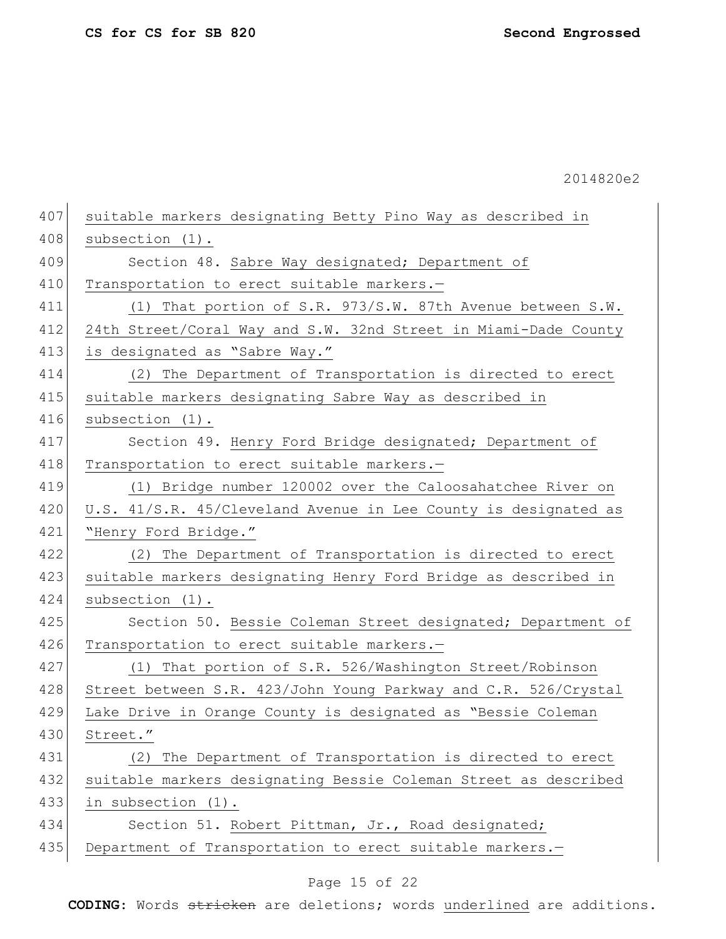407 suitable markers designating Betty Pino Way as described in 408 subsection (1). 409 Section 48. Sabre Way designated; Department of 410 Transportation to erect suitable markers.-411 (1) That portion of S.R. 973/S.W. 87th Avenue between S.W. 412 24th Street/Coral Way and S.W. 32nd Street in Miami-Dade County 413 is designated as "Sabre Way." 414 (2) The Department of Transportation is directed to erect 415 | suitable markers designating Sabre Way as described in 416 subsection (1). 417 Section 49. Henry Ford Bridge designated; Department of 418 Transportation to erect suitable markers.-419 (1) Bridge number 120002 over the Caloosahatchee River on 420 U.S. 41/S.R. 45/Cleveland Avenue in Lee County is designated as 421 "Henry Ford Bridge." 422 (2) The Department of Transportation is directed to erect 423 suitable markers designating Henry Ford Bridge as described in 424 subsection (1). 425 Section 50. Bessie Coleman Street designated; Department of 426 Transportation to erect suitable markers.-427 (1) That portion of S.R. 526/Washington Street/Robinson 428 Street between S.R. 423/John Young Parkway and C.R. 526/Crystal 429 Lake Drive in Orange County is designated as "Bessie Coleman 430 Street." 431 (2) The Department of Transportation is directed to erect 432 suitable markers designating Bessie Coleman Street as described 433 in subsection (1). 434 Section 51. Robert Pittman, Jr., Road designated; 435 Department of Transportation to erect suitable markers.-

### Page 15 of 22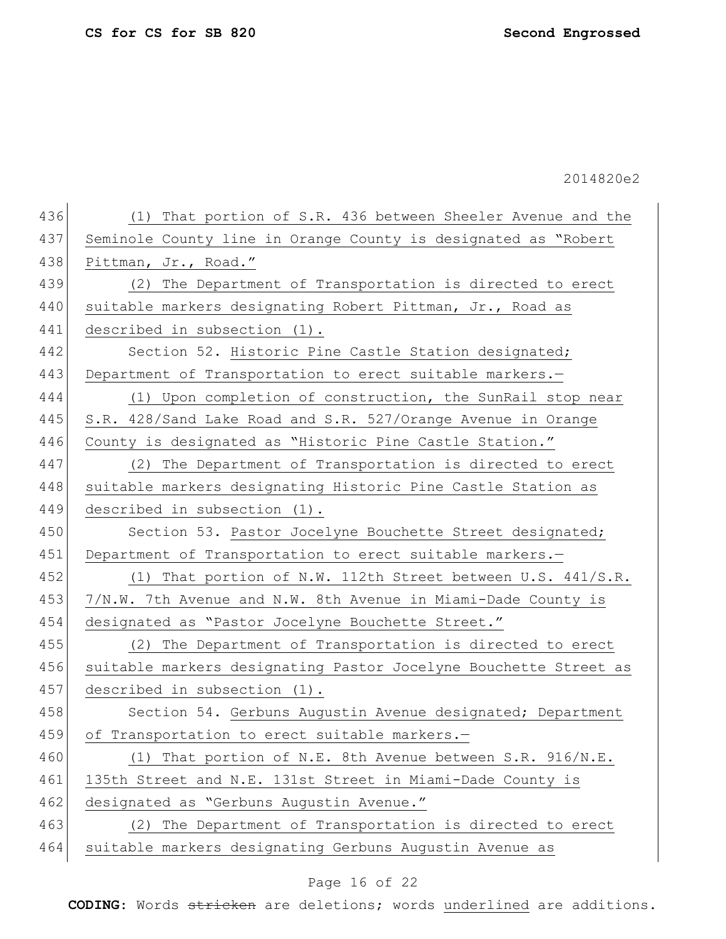| 436 | That portion of S.R. 436 between Sheeler Avenue and the<br>(1)   |
|-----|------------------------------------------------------------------|
| 437 | Seminole County line in Orange County is designated as "Robert   |
| 438 | Pittman, Jr., Road."                                             |
| 439 | The Department of Transportation is directed to erect<br>(2)     |
| 440 | suitable markers designating Robert Pittman, Jr., Road as        |
| 441 | described in subsection (1).                                     |
| 442 | Section 52. Historic Pine Castle Station designated;             |
| 443 | Department of Transportation to erect suitable markers.-         |
| 444 | (1) Upon completion of construction, the SunRail stop near       |
| 445 | S.R. 428/Sand Lake Road and S.R. 527/Orange Avenue in Orange     |
| 446 | County is designated as "Historic Pine Castle Station."          |
| 447 | (2) The Department of Transportation is directed to erect        |
| 448 | suitable markers designating Historic Pine Castle Station as     |
| 449 | described in subsection (1).                                     |
| 450 | Section 53. Pastor Jocelyne Bouchette Street designated;         |
| 451 | Department of Transportation to erect suitable markers.-         |
| 452 | That portion of N.W. 112th Street between U.S. 441/S.R.<br>(1)   |
| 453 | 7/N.W. 7th Avenue and N.W. 8th Avenue in Miami-Dade County is    |
| 454 | designated as "Pastor Jocelyne Bouchette Street."                |
| 455 | The Department of Transportation is directed to erect<br>(2)     |
| 456 | suitable markers designating Pastor Jocelyne Bouchette Street as |
| 457 | described in subsection (1).                                     |
| 458 | Section 54. Gerbuns Augustin Avenue designated; Department       |
| 459 | of Transportation to erect suitable markers.-                    |
| 460 | (1) That portion of N.E. 8th Avenue between S.R. 916/N.E.        |
| 461 | 135th Street and N.E. 131st Street in Miami-Dade County is       |
| 462 | designated as "Gerbuns Augustin Avenue."                         |
| 463 | The Department of Transportation is directed to erect<br>(2)     |
| 464 | suitable markers designating Gerbuns Augustin Avenue as          |
|     |                                                                  |

# Page 16 of 22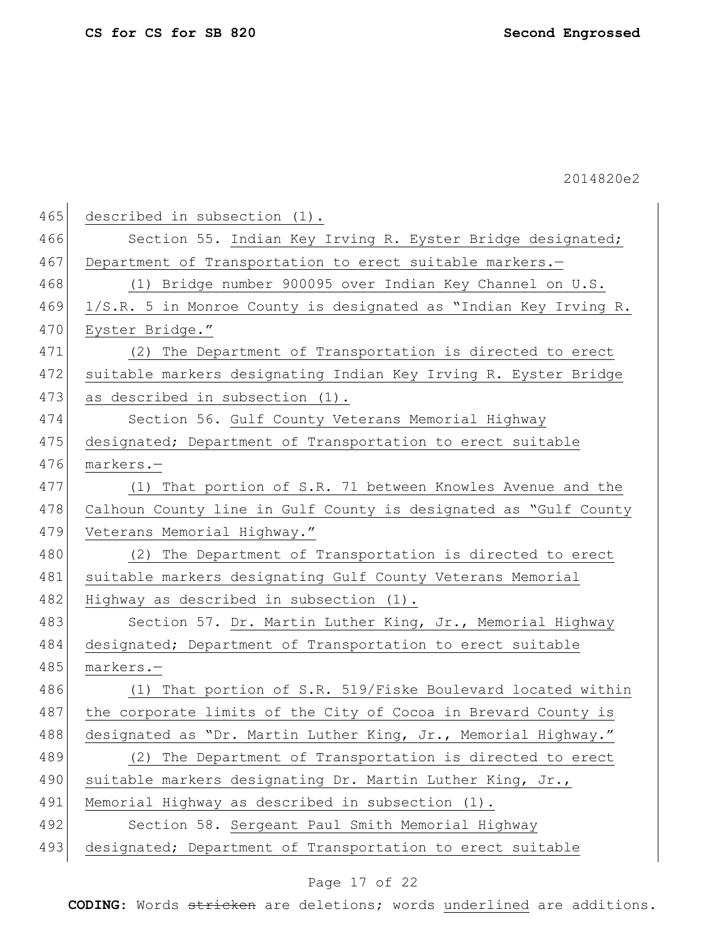| 465<br>described in subsection (1).                                     |
|-------------------------------------------------------------------------|
| 466<br>Section 55. Indian Key Irving R. Eyster Bridge designated;       |
| Department of Transportation to erect suitable markers.-                |
| 468<br>(1) Bridge number 900095 over Indian Key Channel on U.S.         |
| 469<br>1/S.R. 5 in Monroe County is designated as "Indian Key Irving R. |
| Eyster Bridge."                                                         |
| (2) The Department of Transportation is directed to erect               |
| 472<br>suitable markers designating Indian Key Irving R. Eyster Bridge  |
| 473<br>as described in subsection (1).                                  |
| 474<br>Section 56. Gulf County Veterans Memorial Highway                |
| 475<br>designated; Department of Transportation to erect suitable       |
| 476<br>markers.-                                                        |
| 477<br>(1) That portion of S.R. 71 between Knowles Avenue and the       |
| 478<br>Calhoun County line in Gulf County is designated as "Gulf County |
| 479<br>Veterans Memorial Highway."                                      |
| 480<br>(2) The Department of Transportation is directed to erect        |
| suitable markers designating Gulf County Veterans Memorial              |
| Highway as described in subsection (1).                                 |
| 483<br>Section 57. Dr. Martin Luther King, Jr., Memorial Highway        |
| 484<br>designated; Department of Transportation to erect suitable       |
| 485<br>markers.-                                                        |
| 486<br>(1) That portion of S.R. 519/Fiske Boulevard located within      |
| 487<br>the corporate limits of the City of Cocoa in Brevard County is   |
| 488<br>designated as "Dr. Martin Luther King, Jr., Memorial Highway."   |
| 489<br>(2) The Department of Transportation is directed to erect        |
| 490<br>suitable markers designating Dr. Martin Luther King, Jr.,        |
| 491<br>Memorial Highway as described in subsection (1).                 |
| 492<br>Section 58. Sergeant Paul Smith Memorial Highway                 |
| 493<br>designated; Department of Transportation to erect suitable       |
|                                                                         |

# Page 17 of 22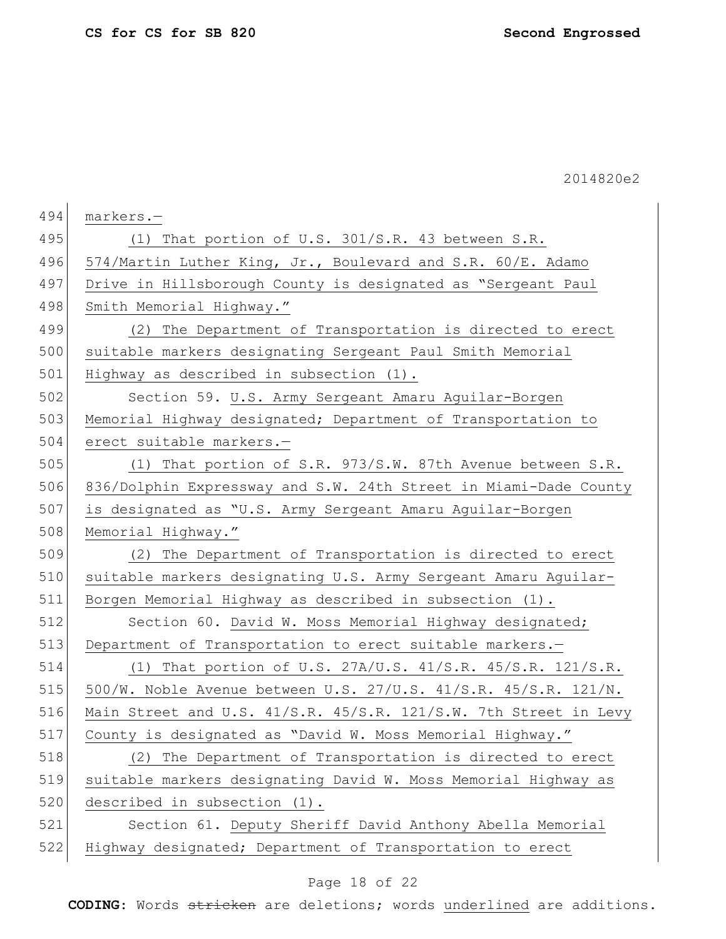| 494 | markers.-                                                         |
|-----|-------------------------------------------------------------------|
| 495 | (1) That portion of U.S. 301/S.R. 43 between S.R.                 |
| 496 | 574/Martin Luther King, Jr., Boulevard and S.R. 60/E. Adamo       |
| 497 | Drive in Hillsborough County is designated as "Sergeant Paul      |
| 498 | Smith Memorial Highway."                                          |
| 499 | (2) The Department of Transportation is directed to erect         |
| 500 | suitable markers designating Sergeant Paul Smith Memorial         |
| 501 | Highway as described in subsection (1).                           |
| 502 | Section 59. U.S. Army Sergeant Amaru Aguilar-Borgen               |
| 503 | Memorial Highway designated; Department of Transportation to      |
| 504 | erect suitable markers.-                                          |
| 505 | (1) That portion of S.R. 973/S.W. 87th Avenue between S.R.        |
| 506 | 836/Dolphin Expressway and S.W. 24th Street in Miami-Dade County  |
| 507 | is designated as "U.S. Army Sergeant Amaru Aguilar-Borgen         |
| 508 | Memorial Highway."                                                |
| 509 | (2) The Department of Transportation is directed to erect         |
| 510 | suitable markers designating U.S. Army Sergeant Amaru Aguilar-    |
| 511 | Borgen Memorial Highway as described in subsection (1).           |
| 512 | Section 60. David W. Moss Memorial Highway designated;            |
| 513 | Department of Transportation to erect suitable markers.-          |
| 514 | (1) That portion of U.S. 27A/U.S. 41/S.R. 45/S.R. 121/S.R.        |
| 515 | 500/W. Noble Avenue between U.S. $27/U.S. 41/S.R. 45/S.R. 121/N.$ |
| 516 | Main Street and U.S. 41/S.R. 45/S.R. 121/S.W. 7th Street in Levy  |
| 517 | County is designated as "David W. Moss Memorial Highway."         |
| 518 | (2) The Department of Transportation is directed to erect         |
| 519 | suitable markers designating David W. Moss Memorial Highway as    |
| 520 | described in subsection (1).                                      |
| 521 | Section 61. Deputy Sheriff David Anthony Abella Memorial          |
| 522 | Highway designated; Department of Transportation to erect         |

# Page 18 of 22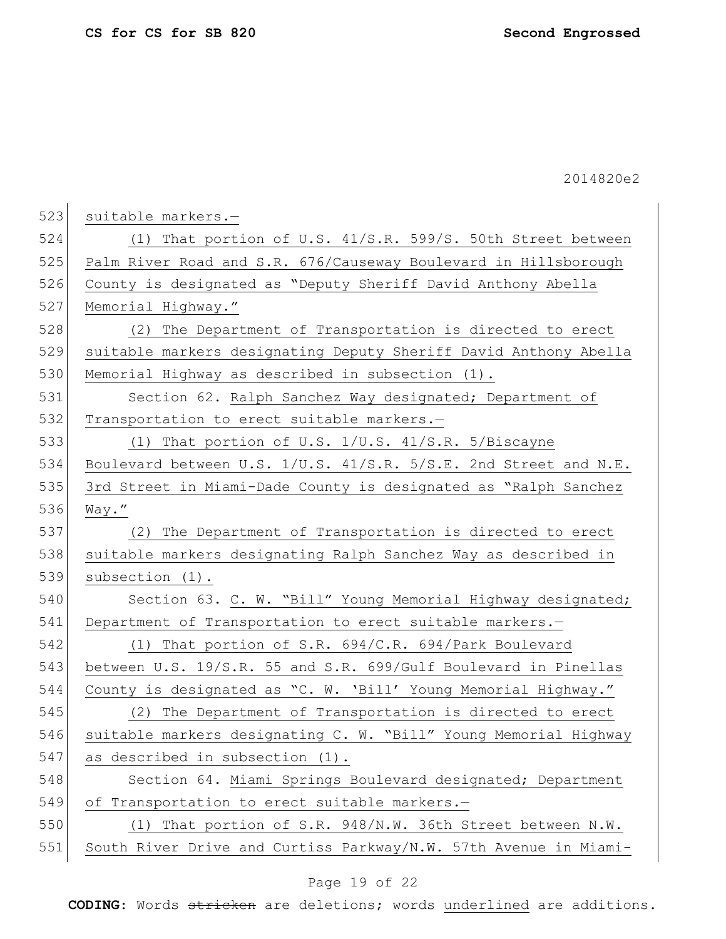| 523 | suitable markers.-                                               |
|-----|------------------------------------------------------------------|
| 524 | (1) That portion of U.S. 41/S.R. 599/S. 50th Street between      |
| 525 | Palm River Road and S.R. 676/Causeway Boulevard in Hillsborough  |
| 526 | County is designated as "Deputy Sheriff David Anthony Abella     |
| 527 | Memorial Highway."                                               |
| 528 | (2) The Department of Transportation is directed to erect        |
| 529 | suitable markers designating Deputy Sheriff David Anthony Abella |
| 530 | Memorial Highway as described in subsection (1).                 |
| 531 | Section 62. Ralph Sanchez Way designated; Department of          |
| 532 | Transportation to erect suitable markers.-                       |
| 533 | (1) That portion of U.S. 1/U.S. 41/S.R. 5/Biscayne               |
| 534 | Boulevard between U.S. 1/U.S. 41/S.R. 5/S.E. 2nd Street and N.E. |
| 535 | 3rd Street in Miami-Dade County is designated as "Ralph Sanchez  |
| 536 | Way."                                                            |
| 537 | (2) The Department of Transportation is directed to erect        |
| 538 | suitable markers designating Ralph Sanchez Way as described in   |
| 539 | subsection $(1)$ .                                               |
| 540 | Section 63. C. W. "Bill" Young Memorial Highway designated;      |
| 541 | Department of Transportation to erect suitable markers.-         |
| 542 | (1) That portion of S.R. $694/C.R.$ 694/Park Boulevard           |
| 543 | between U.S. 19/S.R. 55 and S.R. 699/Gulf Boulevard in Pinellas  |
| 544 | County is designated as "C. W. 'Bill' Young Memorial Highway."   |
| 545 | (2) The Department of Transportation is directed to erect        |
| 546 | suitable markers designating C. W. "Bill" Young Memorial Highway |
| 547 | as described in subsection (1).                                  |
| 548 | Section 64. Miami Springs Boulevard designated; Department       |
| 549 | of Transportation to erect suitable markers.-                    |
| 550 | (1) That portion of S.R. 948/N.W. 36th Street between N.W.       |
| 551 | South River Drive and Curtiss Parkway/N.W. 57th Avenue in Miami- |
|     |                                                                  |

# Page 19 of 22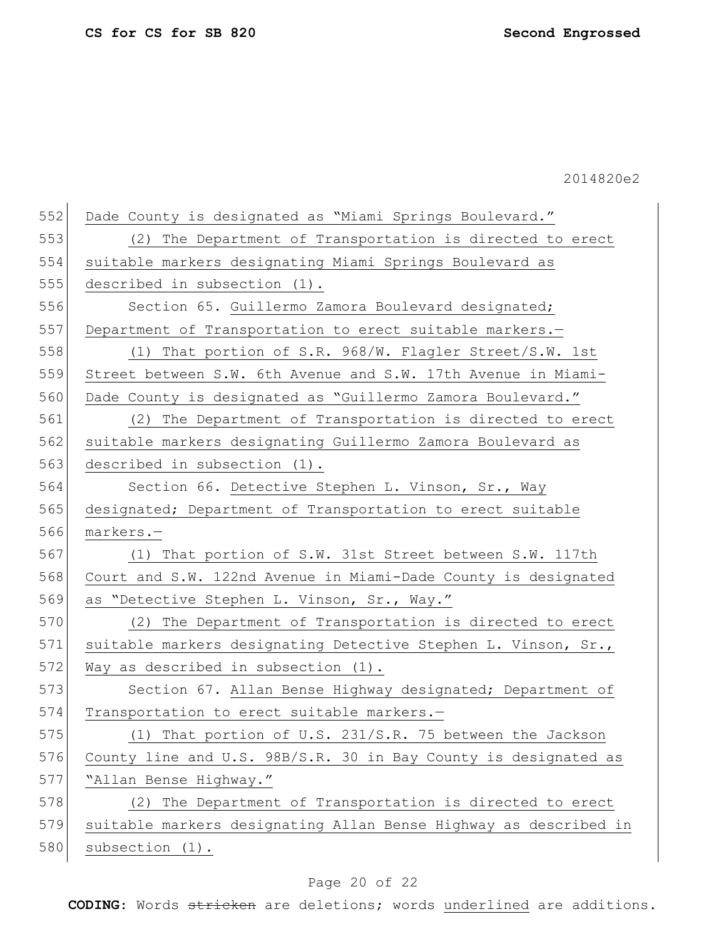| 552 | Dade County is designated as "Miami Springs Boulevard."          |
|-----|------------------------------------------------------------------|
| 553 | (2) The Department of Transportation is directed to erect        |
| 554 | suitable markers designating Miami Springs Boulevard as          |
| 555 | described in subsection (1).                                     |
| 556 | Section 65. Guillermo Zamora Boulevard designated;               |
| 557 | Department of Transportation to erect suitable markers.-         |
| 558 | That portion of S.R. 968/W. Flagler Street/S.W. 1st<br>(1)       |
| 559 | Street between S.W. 6th Avenue and S.W. 17th Avenue in Miami-    |
| 560 | Dade County is designated as "Guillermo Zamora Boulevard."       |
| 561 | (2) The Department of Transportation is directed to erect        |
| 562 | suitable markers designating Guillermo Zamora Boulevard as       |
| 563 | described in subsection (1).                                     |
| 564 | Section 66. Detective Stephen L. Vinson, Sr., Way                |
| 565 | designated; Department of Transportation to erect suitable       |
| 566 | markers.-                                                        |
| 567 | (1) That portion of S.W. 31st Street between S.W. 117th          |
| 568 | Court and S.W. 122nd Avenue in Miami-Dade County is designated   |
| 569 | as "Detective Stephen L. Vinson, Sr., Way."                      |
| 570 | (2) The Department of Transportation is directed to erect        |
| 571 | suitable markers designating Detective Stephen L. Vinson, Sr.,   |
| 572 | Way as described in subsection (1).                              |
| 573 | Section 67. Allan Bense Highway designated; Department of        |
| 574 | Transportation to erect suitable markers.-                       |
| 575 | (1) That portion of U.S. 231/S.R. 75 between the Jackson         |
| 576 | County line and U.S. 98B/S.R. 30 in Bay County is designated as  |
| 577 | "Allan Bense Highway."                                           |
| 578 | (2) The Department of Transportation is directed to erect        |
| 579 | suitable markers designating Allan Bense Highway as described in |
| 580 | subsection (1).                                                  |
|     |                                                                  |

# Page 20 of 22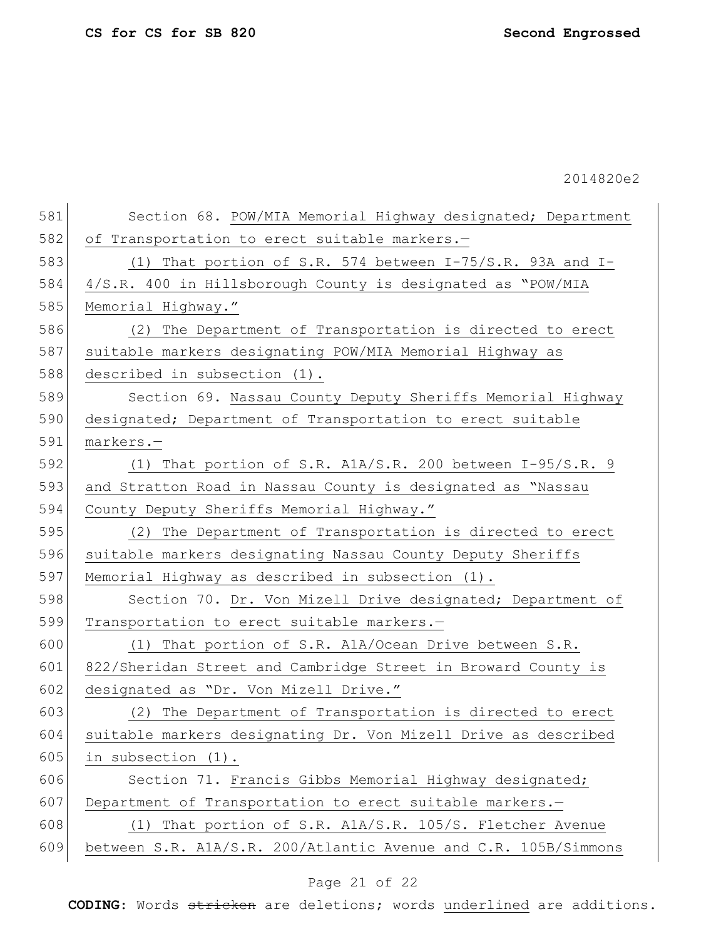| 581 | Section 68. POW/MIA Memorial Highway designated; Department     |
|-----|-----------------------------------------------------------------|
| 582 | of Transportation to erect suitable markers.-                   |
| 583 | (1) That portion of S.R. 574 between $I-75/S.R.$ 93A and I-     |
| 584 | 4/S.R. 400 in Hillsborough County is designated as "POW/MIA     |
| 585 | Memorial Highway."                                              |
| 586 | (2) The Department of Transportation is directed to erect       |
| 587 | suitable markers designating POW/MIA Memorial Highway as        |
| 588 | described in subsection (1).                                    |
| 589 | Section 69. Nassau County Deputy Sheriffs Memorial Highway      |
| 590 | designated; Department of Transportation to erect suitable      |
| 591 | markers.-                                                       |
| 592 | (1) That portion of S.R. AlA/S.R. 200 between I-95/S.R. 9       |
| 593 | and Stratton Road in Nassau County is designated as "Nassau     |
| 594 | County Deputy Sheriffs Memorial Highway."                       |
| 595 | (2) The Department of Transportation is directed to erect       |
| 596 | suitable markers designating Nassau County Deputy Sheriffs      |
| 597 | Memorial Highway as described in subsection (1).                |
| 598 | Section 70. Dr. Von Mizell Drive designated; Department of      |
| 599 | Transportation to erect suitable markers.-                      |
| 600 | (1) That portion of S.R. A1A/Ocean Drive between S.R.           |
| 601 | 822/Sheridan Street and Cambridge Street in Broward County is   |
| 602 | designated as "Dr. Von Mizell Drive."                           |
| 603 | (2) The Department of Transportation is directed to erect       |
| 604 | suitable markers designating Dr. Von Mizell Drive as described  |
| 605 | in subsection (1).                                              |
| 606 | Section 71. Francis Gibbs Memorial Highway designated;          |
| 607 | Department of Transportation to erect suitable markers.-        |
| 608 | (1) That portion of S.R. A1A/S.R. 105/S. Fletcher Avenue        |
| 609 | between S.R. A1A/S.R. 200/Atlantic Avenue and C.R. 105B/Simmons |
|     |                                                                 |

# Page 21 of 22